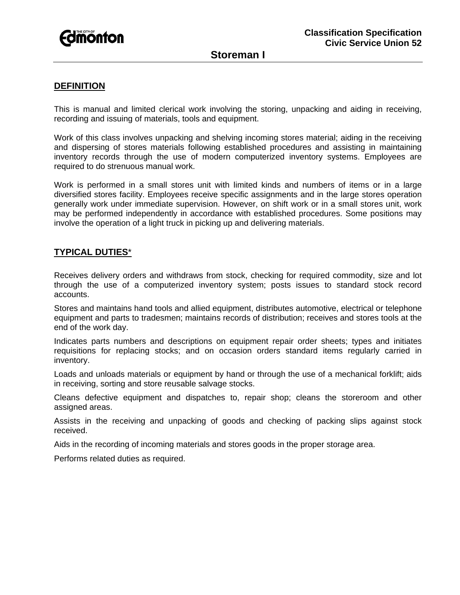

# **Storeman I**

### **DEFINITION**

This is manual and limited clerical work involving the storing, unpacking and aiding in receiving, recording and issuing of materials, tools and equipment.

Work of this class involves unpacking and shelving incoming stores material; aiding in the receiving and dispersing of stores materials following established procedures and assisting in maintaining inventory records through the use of modern computerized inventory systems. Employees are required to do strenuous manual work.

Work is performed in a small stores unit with limited kinds and numbers of items or in a large diversified stores facility. Employees receive specific assignments and in the large stores operation generally work under immediate supervision. However, on shift work or in a small stores unit, work may be performed independently in accordance with established procedures. Some positions may involve the operation of a light truck in picking up and delivering materials.

## **TYPICAL DUTIES**\*

Receives delivery orders and withdraws from stock, checking for required commodity, size and lot through the use of a computerized inventory system; posts issues to standard stock record accounts.

Stores and maintains hand tools and allied equipment, distributes automotive, electrical or telephone equipment and parts to tradesmen; maintains records of distribution; receives and stores tools at the end of the work day.

Indicates parts numbers and descriptions on equipment repair order sheets; types and initiates requisitions for replacing stocks; and on occasion orders standard items regularly carried in inventory.

Loads and unloads materials or equipment by hand or through the use of a mechanical forklift; aids in receiving, sorting and store reusable salvage stocks.

Cleans defective equipment and dispatches to, repair shop; cleans the storeroom and other assigned areas.

Assists in the receiving and unpacking of goods and checking of packing slips against stock received.

Aids in the recording of incoming materials and stores goods in the proper storage area.

Performs related duties as required.